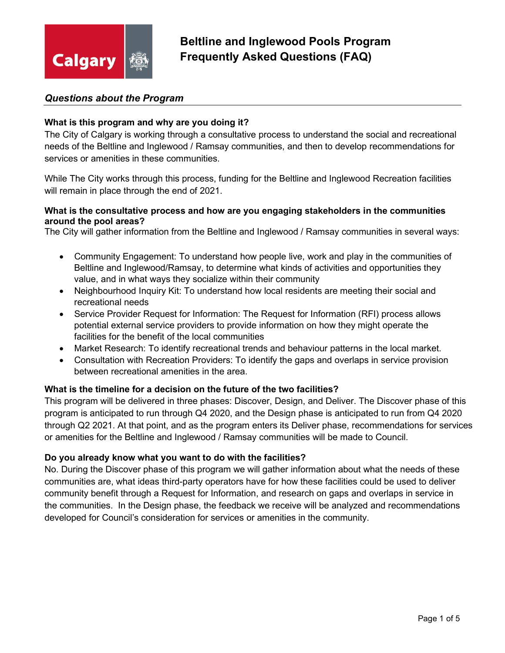

## Questions about the Program

#### What is this program and why are you doing it?

The City of Calgary is working through a consultative process to understand the social and recreational needs of the Beltline and Inglewood / Ramsay communities, and then to develop recommendations for services or amenities in these communities.

While The City works through this process, funding for the Beltline and Inglewood Recreation facilities will remain in place through the end of 2021.

#### What is the consultative process and how are you engaging stakeholders in the communities around the pool areas?

The City will gather information from the Beltline and Inglewood / Ramsay communities in several ways:

- Community Engagement: To understand how people live, work and play in the communities of Beltline and Inglewood/Ramsay, to determine what kinds of activities and opportunities they value, and in what ways they socialize within their community
- Neighbourhood Inquiry Kit: To understand how local residents are meeting their social and recreational needs
- Service Provider Request for Information: The Request for Information (RFI) process allows potential external service providers to provide information on how they might operate the facilities for the benefit of the local communities
- Market Research: To identify recreational trends and behaviour patterns in the local market.
- Consultation with Recreation Providers: To identify the gaps and overlaps in service provision between recreational amenities in the area.

## What is the timeline for a decision on the future of the two facilities?

This program will be delivered in three phases: Discover, Design, and Deliver. The Discover phase of this program is anticipated to run through Q4 2020, and the Design phase is anticipated to run from Q4 2020 through Q2 2021. At that point, and as the program enters its Deliver phase, recommendations for services or amenities for the Beltline and Inglewood / Ramsay communities will be made to Council.

#### Do you already know what you want to do with the facilities?

No. During the Discover phase of this program we will gather information about what the needs of these communities are, what ideas third-party operators have for how these facilities could be used to deliver community benefit through a Request for Information, and research on gaps and overlaps in service in the communities. In the Design phase, the feedback we receive will be analyzed and recommendations developed for Council's consideration for services or amenities in the community.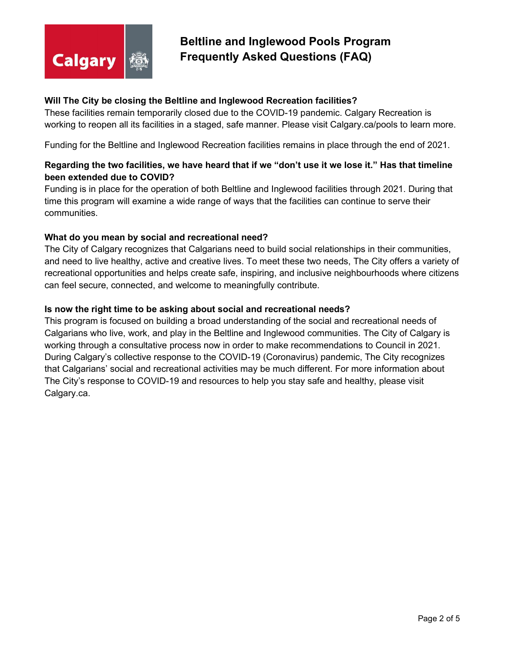

## Will The City be closing the Beltline and Inglewood Recreation facilities?

These facilities remain temporarily closed due to the COVID-19 pandemic. Calgary Recreation is working to reopen all its facilities in a staged, safe manner. Please visit Calgary.ca/pools to learn more.

Funding for the Beltline and Inglewood Recreation facilities remains in place through the end of 2021.

## Regarding the two facilities, we have heard that if we "don't use it we lose it." Has that timeline been extended due to COVID?

Funding is in place for the operation of both Beltline and Inglewood facilities through 2021. During that time this program will examine a wide range of ways that the facilities can continue to serve their communities.

#### What do you mean by social and recreational need?

The City of Calgary recognizes that Calgarians need to build social relationships in their communities, and need to live healthy, active and creative lives. To meet these two needs, The City offers a variety of recreational opportunities and helps create safe, inspiring, and inclusive neighbourhoods where citizens can feel secure, connected, and welcome to meaningfully contribute.

#### Is now the right time to be asking about social and recreational needs?

This program is focused on building a broad understanding of the social and recreational needs of Calgarians who live, work, and play in the Beltline and Inglewood communities. The City of Calgary is working through a consultative process now in order to make recommendations to Council in 2021. During Calgary's collective response to the COVID-19 (Coronavirus) pandemic, The City recognizes that Calgarians' social and recreational activities may be much different. For more information about The City's response to COVID-19 and resources to help you stay safe and healthy, please visit Calgary.ca.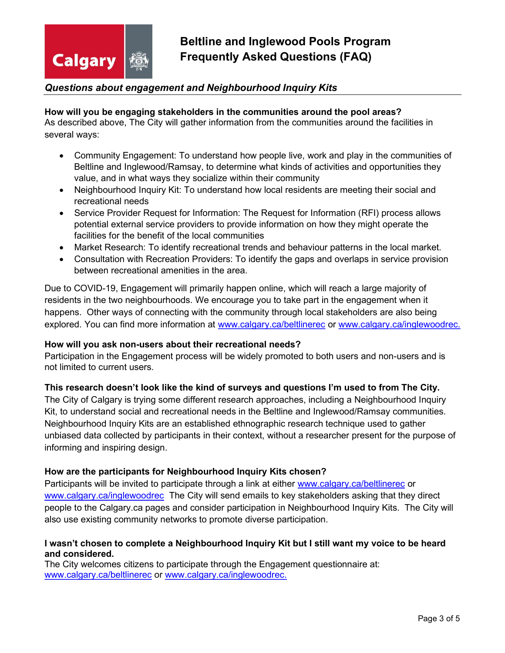

## Questions about engagement and Neighbourhood Inquiry Kits

## How will you be engaging stakeholders in the communities around the pool areas?

As described above, The City will gather information from the communities around the facilities in several ways:

- Community Engagement: To understand how people live, work and play in the communities of Beltline and Inglewood/Ramsay, to determine what kinds of activities and opportunities they value, and in what ways they socialize within their community
- Neighbourhood Inquiry Kit: To understand how local residents are meeting their social and recreational needs
- Service Provider Request for Information: The Request for Information (RFI) process allows potential external service providers to provide information on how they might operate the facilities for the benefit of the local communities
- Market Research: To identify recreational trends and behaviour patterns in the local market.
- Consultation with Recreation Providers: To identify the gaps and overlaps in service provision between recreational amenities in the area.

Due to COVID-19, Engagement will primarily happen online, which will reach a large majority of residents in the two neighbourhoods. We encourage you to take part in the engagement when it happens. Other ways of connecting with the community through local stakeholders are also being explored. You can find more information at www.calgary.ca/beltlinerec or www.calgary.ca/inglewoodrec.

#### How will you ask non-users about their recreational needs?

Participation in the Engagement process will be widely promoted to both users and non-users and is not limited to current users.

## This research doesn't look like the kind of surveys and questions I'm used to from The City.

The City of Calgary is trying some different research approaches, including a Neighbourhood Inquiry Kit, to understand social and recreational needs in the Beltline and Inglewood/Ramsay communities. Neighbourhood Inquiry Kits are an established ethnographic research technique used to gather unbiased data collected by participants in their context, without a researcher present for the purpose of informing and inspiring design.

## How are the participants for Neighbourhood Inquiry Kits chosen?

Participants will be invited to participate through a link at either www.calgary.ca/beltlinerec or www.calgary.ca/inglewoodrec The City will send emails to key stakeholders asking that they direct people to the Calgary.ca pages and consider participation in Neighbourhood Inquiry Kits. The City will also use existing community networks to promote diverse participation.

#### I wasn't chosen to complete a Neighbourhood Inquiry Kit but I still want my voice to be heard and considered.

The City welcomes citizens to participate through the Engagement questionnaire at: www.calgary.ca/beltlinerec or www.calgary.ca/inglewoodrec.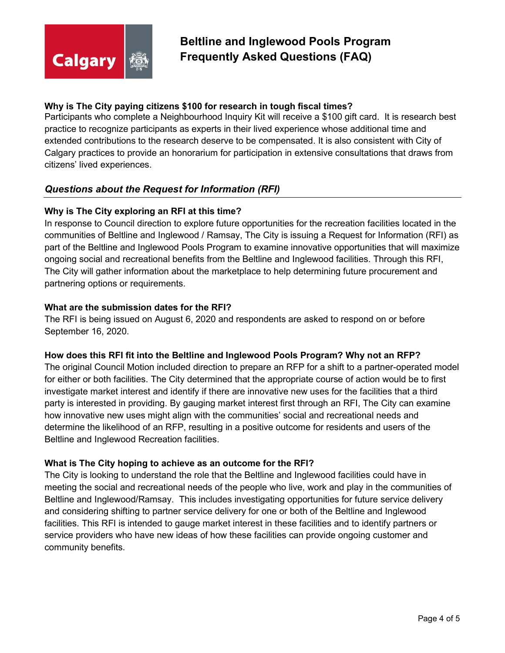

## Why is The City paying citizens \$100 for research in tough fiscal times?

Participants who complete a Neighbourhood Inquiry Kit will receive a \$100 gift card. It is research best practice to recognize participants as experts in their lived experience whose additional time and extended contributions to the research deserve to be compensated. It is also consistent with City of Calgary practices to provide an honorarium for participation in extensive consultations that draws from citizens' lived experiences.

## Questions about the Request for Information (RFI)

#### Why is The City exploring an RFI at this time?

In response to Council direction to explore future opportunities for the recreation facilities located in the communities of Beltline and Inglewood / Ramsay, The City is issuing a Request for Information (RFI) as part of the Beltline and Inglewood Pools Program to examine innovative opportunities that will maximize ongoing social and recreational benefits from the Beltline and Inglewood facilities. Through this RFI, The City will gather information about the marketplace to help determining future procurement and partnering options or requirements.

#### What are the submission dates for the RFI?

The RFI is being issued on August 6, 2020 and respondents are asked to respond on or before September 16, 2020.

#### How does this RFI fit into the Beltline and Inglewood Pools Program? Why not an RFP?

The original Council Motion included direction to prepare an RFP for a shift to a partner-operated model for either or both facilities. The City determined that the appropriate course of action would be to first investigate market interest and identify if there are innovative new uses for the facilities that a third party is interested in providing. By gauging market interest first through an RFI, The City can examine how innovative new uses might align with the communities' social and recreational needs and determine the likelihood of an RFP, resulting in a positive outcome for residents and users of the Beltline and Inglewood Recreation facilities.

## What is The City hoping to achieve as an outcome for the RFI?

The City is looking to understand the role that the Beltline and Inglewood facilities could have in meeting the social and recreational needs of the people who live, work and play in the communities of Beltline and Inglewood/Ramsay. This includes investigating opportunities for future service delivery and considering shifting to partner service delivery for one or both of the Beltline and Inglewood facilities. This RFI is intended to gauge market interest in these facilities and to identify partners or service providers who have new ideas of how these facilities can provide ongoing customer and community benefits.